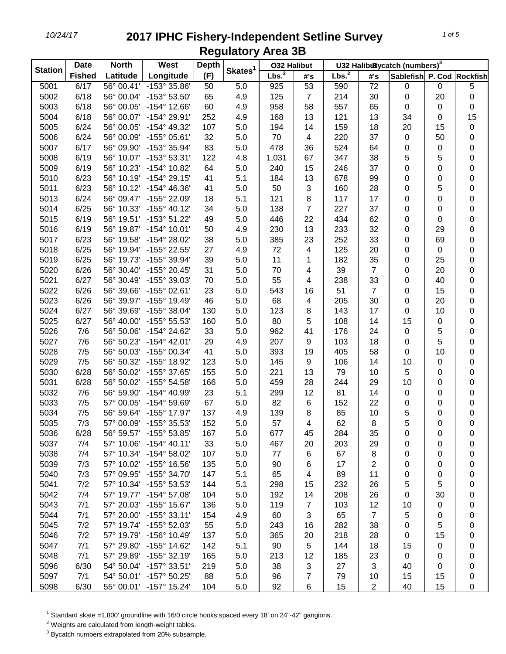| <b>Station</b> | <b>Date</b>   | <b>North</b> | <b>West</b>                  | <b>Depth</b> |                     | <b>032 Halibut</b> |                           |                   |                | U32 HalibuBycatch (numbers) <sup>3</sup> |             |           |
|----------------|---------------|--------------|------------------------------|--------------|---------------------|--------------------|---------------------------|-------------------|----------------|------------------------------------------|-------------|-----------|
|                | <b>Fished</b> | Latitude     | Longitude                    | (F)          | Skates <sup>1</sup> | Lbs. <sup>2</sup>  | #'s                       | Lbs. <sup>2</sup> | #'s            | Sablefish P. Cod Rockfish                |             |           |
| 5001           | 6/17          | 56° 00.41'   | -153° 35.86'                 | 50           | 5.0                 | 925                | 53                        | 590               | 72             | 0                                        | $\pmb{0}$   | 5         |
| 5002           | 6/18          | 56° 00.04'   | -153° 53.50'                 | 65           | 4.9                 | 125                | $\overline{7}$            | 214               | 30             | 0                                        | 20          | $\pmb{0}$ |
| 5003           | 6/18          | 56° 00.05'   | $-154^{\circ}$ 12.66'        | 60           | 4.9                 | 958                | 58                        | 557               | 65             | 0                                        | $\pmb{0}$   | 0         |
| 5004           | 6/18          | 56° 00.07'   | -154° 29.91'                 | 252          | 4.9                 | 168                | 13                        | 121               | 13             | 34                                       | 0           | 15        |
| 5005           | 6/24          | 56° 00.05'   | -154° 49.32'                 | 107          | 5.0                 | 194                | 14                        | 159               | 18             | 20                                       | 15          | $\pmb{0}$ |
| 5006           | 6/24          | 56° 00.09'   | -155° 05.61'                 | 32           | 5.0                 | 70                 | $\overline{\mathbf{4}}$   | 220               | 37             | 0                                        | 50          | 0         |
| 5007           | 6/17          | 56° 09.90'   | -153° 35.94'                 | 83           | 5.0                 | 478                | 36                        | 524               | 64             | 0                                        | $\pmb{0}$   | 0         |
| 5008           | 6/19          | 56° 10.07'   | -153° 53.31'                 | 122          | 4.8                 | 1,031              | 67                        | 347               | 38             | 5                                        | 5           | $\pmb{0}$ |
| 5009           | 6/19          | 56° 10.23'   | -154° 10.82'                 | 64           | 5.0                 | 240                | 15                        | 246               | 37             | 0                                        | 0           | $\pmb{0}$ |
| 5010           | 6/23          | 56° 10.19'   | $-154^{\circ}$ 29.15'        | 41           | 5.1                 | 184                | 13                        | 678               | 99             | 0                                        | 0           | 0         |
| 5011           | 6/23          | 56° 10.12'   | -154° 46.36'                 | 41           | 5.0                 | 50                 | 3                         | 160               | 28             | 0                                        | 5           | $\pmb{0}$ |
| 5013           | 6/24          | 56° 09.47'   | -155° 22.09'                 | 18           | 5.1                 | 121                | $\bf 8$                   | 117               | 17             | 0                                        | $\mathbf 0$ | 0         |
| 5014           | 6/25          | 56° 10.33'   | $-155^{\circ}$ 40.12'        | 34           | 5.0                 | 138                | $\overline{7}$            | 227               | 37             | 0                                        | $\pmb{0}$   | 0         |
| 5015           | 6/19          | 56° 19.51'   | -153° 51.22'                 | 49           | 5.0                 | 446                | 22                        | 434               | 62             | 0                                        | 0           | 0         |
| 5016           | 6/19          | 56° 19.87'   | $-154^{\circ}$ 10.01'        | 50           | 4.9                 | 230                | 13                        | 233               | 32             | 0                                        | 29          | $\pmb{0}$ |
| 5017           | 6/23          | 56° 19.58'   | -154° 28.02'                 | 38           | 5.0                 | 385                | 23                        | 252               | 33             | 0                                        | 69          | $\pmb{0}$ |
| 5018           | 6/25          | 56° 19.94'   | -155° 22.55'                 | 27           | 4.9                 | 72                 | 4                         | 125               | 20             | 0                                        | $\pmb{0}$   | 0         |
| 5019           | 6/25          | 56° 19.73'   | -155° 39.94'                 | 39           | 5.0                 | 11                 | 1                         | 182               | 35             | 0                                        | 25          | 0         |
| 5020           | 6/26          | 56° 30.40'   | -155° 20.45'                 | 31           | 5.0                 | 70                 | 4                         | 39                | $\overline{7}$ | 0                                        | 20          | 0         |
| 5021           | 6/27          | 56° 30.49'   | -155° 39.03'                 | 70           | 5.0                 | 55                 | 4                         | 238               | 33             | 0                                        | 40          | 0         |
| 5022           | 6/26          | 56° 39.66'   | -155° 02.61'                 | 23           | 5.0                 | 543                | 16                        | 51                | $\overline{7}$ | 0                                        | 15          | 0         |
| 5023           | 6/26          | 56° 39.97'   | -155° 19.49'                 | 46           | 5.0                 | 68                 | 4                         | 205               | 30             | 0                                        | 20          | 0         |
| 5024           | 6/27          | 56° 39.69'   | -155° 38.04'                 | 130          | 5.0                 | 123                | 8                         | 143               | 17             | 0                                        | 10          | 0         |
| 5025           | 6/27          | 56° 40.00'   | -155° 55.53'                 | 160          | 5.0                 | 80                 | 5                         | 108               | 14             | 15                                       | $\pmb{0}$   | $\pmb{0}$ |
| 5026           | 7/6           | 56° 50.06'   | -154° 24.62'                 | 33           | 5.0                 | 962                | 41                        | 176               | 24             | 0                                        | 5           | $\pmb{0}$ |
| 5027           | 7/6           | 56° 50.23'   | $-154^{\circ}$ 42.01'        | 29           | 4.9                 | 207                | $\boldsymbol{9}$          | 103               | 18             | 0                                        | 5           | 0         |
| 5028           | 7/5           | 56° 50.03'   | -155° 00.34'                 | 41           | 5.0                 | 393                | 19                        | 405               | 58             | 0                                        | 10          | 0         |
| 5029           | 7/5           | 56° 50.32'   | -155° 18.92'                 | 123          | 5.0                 | 145                | $\boldsymbol{9}$          | 106               | 14             | 10                                       | $\mathbf 0$ | $\pmb{0}$ |
| 5030           | 6/28          | 56° 50.02'   | -155° 37.65'                 | 155          | 5.0                 | 221                | 13                        | 79                | 10             | 5                                        | $\pmb{0}$   | 0         |
| 5031           | 6/28          | 56° 50.02'   | -155° 54.58'                 | 166          | 5.0                 | 459                | 28                        | 244               | 29             | 10                                       | $\mathbf 0$ | 0         |
| 5032           | 7/6           | 56° 59.90'   | -154° 40.99'                 | 23           | 5.1                 | 299                | 12                        | 81                | 14             | 0                                        | 0           | 0         |
| 5033           | 7/5           | 57° 00.05'   | -154° 59.69'                 | 67           | 5.0                 | 82                 | 6                         | 152               | 22             | 0                                        | 0           | 0         |
| 5034           | 7/5           | 56° 59.64'   | -155° 17.97'                 | 137          | 4.9                 | 139                | 8                         | 85                | 10             | 5                                        | 0           | 0         |
| 5035           | 7/3           | 57° 00.09'   | -155° 35.53'                 | 152          | 5.0                 | 57                 | 4                         | 62                | 8              | 5                                        | 0           | 0         |
| 5036           | 6/28          | 56° 59.57'   | $-155^{\circ} 53.85^{\circ}$ | 167          | 5.0                 | 677                | 45                        | 284               | 35             | 0                                        | 0           | 0         |
| 5037           | 7/4           | 57° 10.06'   | $-154^{\circ}$ 40.11'        | 33           | 5.0                 | 467                | 20                        | 203               | 29             | 0                                        | 0           | 0         |
| 5038           | 7/4           | 57° 10.34'   | -154° 58.02'                 | 107          | 5.0                 | 77                 | 6                         | 67                | 8              | 0                                        | 0           | 0         |
| 5039           | 7/3           | 57° 10.02'   | -155° 16.56'                 | 135          | 5.0                 | 90                 | 6                         | 17                | 2              | 0                                        | 0           | 0         |
| 5040           | 7/3           | 57° 09.95'   | -155° 34.70'                 | 147          | 5.1                 | 65                 | 4                         | 89                | 11             | 0                                        | 0           | 0         |
| 5041           | 7/2           | 57° 10.34'   | -155° 53.53'                 | 144          | 5.1                 | 298                | 15                        | 232               | 26             | 5                                        | 5           | 0         |
| 5042           | 7/4           | 57° 19.77'   | $-154^{\circ}$ 57.08'        | 104          | 5.0                 | 192                | 14                        | 208               | 26             | 0                                        | 30          | 0         |
| 5043           | 7/1           | 57° 20.03'   | -155° 15.67'                 | 136          | 5.0                 | 119                | $\overline{7}$            | 103               | 12             | 10                                       | 0           | 0         |
| 5044           | 7/1           | 57° 20.00'   | $-155^{\circ}$ 33.11'        | 154          | 4.9                 | 60                 | 3                         | 65                | $\overline{7}$ | 5                                        | 0           | 0         |
| 5045           | 7/2           | 57° 19.74'   | -155° 52.03'                 | 55           | 5.0                 | 243                | 16                        | 282               | 38             | 0                                        | 5           | 0         |
| 5046           | 7/2           | 57° 19.79'   | -156° 10.49'                 | 137          | 5.0                 | 365                | 20                        | 218               | 28             | 0                                        | 15          | 0         |
| 5047           | 7/1           | 57° 29.80'   | -155° 14.62'                 | 142          | 5.1                 | 90                 | 5                         | 144               | 18             | 15                                       | 0           | 0         |
| 5048           | 7/1           | 57° 29.89'   | -155° 32.19'                 | 165          | 5.0                 | 213                | 12                        | 185               | 23             | 0                                        | 0           | 0         |
| 5096           | 6/30          | 54° 50.04'   | -157° 33.51'                 | 219          | 5.0                 | 38                 | $\ensuremath{\mathsf{3}}$ | 27                | 3              | 40                                       | 0           | 0         |
| 5097           | 7/1           | 54° 50.01'   | -157° 50.25'                 | 88           | 5.0                 | 96                 | 7                         | 79                | 10             | 15                                       | 15          | 0         |
| 5098           | 6/30          | 55° 00.01'   | $-157^{\circ}$ 15.24'        | 104          | 5.0                 | 92                 | 6                         | 15                | $\overline{c}$ | 40                                       | 15          | 0         |

<sup>1</sup> Standard skate =1,800' groundline with 16/0 circle hooks spaced every 18' on 24"-42" gangions.

Weights are calculated from length-weight tables.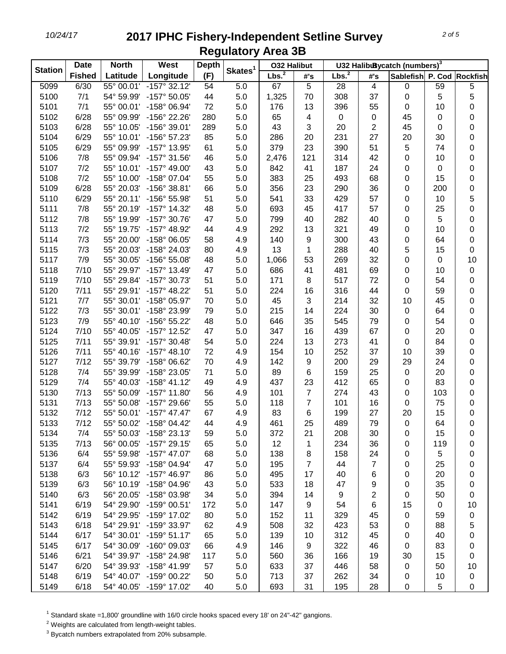|                | <b>Date</b>   | West<br><b>North</b> |                         | <b>Depth</b> |                     | <b>032 Halibut</b> |                  | U32 HalibuBycatch (numbers) <sup>3</sup> |                         |                           |             |             |  |
|----------------|---------------|----------------------|-------------------------|--------------|---------------------|--------------------|------------------|------------------------------------------|-------------------------|---------------------------|-------------|-------------|--|
| <b>Station</b> | <b>Fished</b> | Latitude             | Longitude               | (F)          | Skates <sup>1</sup> | Lbs. <sup>2</sup>  | #'s              | Lbs. <sup>2</sup>                        | #'s                     | Sablefish P. Cod Rockfish |             |             |  |
| 5099           | 6/30          | 55° 00.01'           | $-157^{\circ}$ 32.12'   | 54           | 5.0                 | 67                 | 5                | 28                                       | $\overline{\mathbf{4}}$ | 0                         | 59          | 5           |  |
| 5100           | 7/1           | 54° 59.99'           | -157° 50.05'            | 44           | 5.0                 | 1,325              | 70               | 308                                      | 37                      | 0                         | 5           | 5           |  |
| 5101           | 7/1           | 55° 00.01'           | -158° 06.94'            | 72           | 5.0                 | 176                | 13               | 396                                      | 55                      | 0                         | 10          | $\pmb{0}$   |  |
| 5102           | 6/28          | 55° 09.99'           | -156° 22.26'            | 280          | 5.0                 | 65                 | 4                | 0                                        | 0                       | 45                        | 0           | $\pmb{0}$   |  |
| 5103           | 6/28          | 55° 10.05'           | -156° 39.01'            | 289          | 5.0                 | 43                 | 3                | 20                                       | 2                       | 45                        | 0           | $\pmb{0}$   |  |
| 5104           | 6/29          | 55° 10.01'           | -156° 57.23'            | 85           | 5.0                 | 286                | 20               | 231                                      | 27                      | 20                        | 30          | $\pmb{0}$   |  |
| 5105           | 6/29          | 55° 09.99'           | -157° 13.95'            | 61           | 5.0                 | 379                | 23               | 390                                      | 51                      | 5                         | 74          | $\pmb{0}$   |  |
| 5106           | 7/8           | 55° 09.94'           | -157° 31.56'            | 46           | 5.0                 | 2,476              | 121              | 314                                      | 42                      | 0                         | 10          | $\pmb{0}$   |  |
| 5107           | 7/2           | 55° 10.01'           | -157° 49.00'            | 43           | 5.0                 | 842                | 41               | 187                                      | 24                      | 0                         | $\mathbf 0$ | $\pmb{0}$   |  |
| 5108           | 7/2           | 55° 10.00'           | -158° 07.04'            | 55           | 5.0                 | 383                | 25               | 493                                      | 68                      | 0                         | 15          | $\pmb{0}$   |  |
| 5109           | 6/28          | 55° 20.03'           | -156° 38.81'            | 66           | 5.0                 | 356                | 23               | 290                                      | 36                      | 0                         | 200         | $\mathbf 0$ |  |
| 5110           | 6/29          | 55° 20.11'           | -156° 55.98'            | 51           | 5.0                 | 541                | 33               | 429                                      | 57                      | 0                         | 10          | 5           |  |
| 5111           | 7/8           | 55° 20.19'           | -157° 14.32'            | 48           | 5.0                 | 693                | 45               | 417                                      | 57                      | 0                         | 25          | $\pmb{0}$   |  |
| 5112           | 7/8           | 55° 19.99'           | -157° 30.76'            | 47           | 5.0                 | 799                | 40               | 282                                      | 40                      | 0                         | 5           | $\pmb{0}$   |  |
| 5113           | 7/2           | 55° 19.75'           | -157° 48.92'            | 44           | 4.9                 | 292                | 13               | 321                                      | 49                      | 0                         | 10          | $\pmb{0}$   |  |
| 5114           | 7/3           | 55° 20.00'           | -158° 06.05'            | 58           | 4.9                 | 140                | $\boldsymbol{9}$ | 300                                      | 43                      | 0                         | 64          | $\pmb{0}$   |  |
| 5115           | 7/3           | 55° 20.03'           | -158° 24.03'            | 80           | 4.9                 | 13                 | 1                | 288                                      | 40                      | 5                         | 15          | 0           |  |
| 5117           | 7/9           | 55° 30.05'           | -156° 55.08'            | 48           | 5.0                 | 1,066              | 53               | 269                                      | 32                      | 0                         | $\pmb{0}$   | 10          |  |
| 5118           | 7/10          | 55° 29.97'           | $-157^{\circ}$ 13.49'   | 47           | 5.0                 | 686                | 41               | 481                                      | 69                      | 0                         | 10          | $\pmb{0}$   |  |
| 5119           | 7/10          | 55° 29.84'           | -157° 30.73'            | 51           | 5.0                 | 171                | 8                | 517                                      | 72                      | 0                         | 54          | $\pmb{0}$   |  |
| 5120           | 7/11          | 55° 29.91'           | $-157^{\circ}$ 48.22'   | 51           | 5.0                 | 224                | 16               | 316                                      | 44                      | 0                         | 59          | $\pmb{0}$   |  |
| 5121           | 7/7           | 55° 30.01'           | -158° 05.97'            | 70           | 5.0                 | 45                 | 3                | 214                                      | 32                      | 10                        | 45          | $\pmb{0}$   |  |
| 5122           | 7/3           | 55° 30.01'           | -158° 23.99'            | 79           | 5.0                 | 215                | 14               | 224                                      | 30                      | 0                         | 64          | $\pmb{0}$   |  |
| 5123           | 7/9           | 55° 40.10'           | -156° 55.22'            | 48           | 5.0                 | 646                | 35               | 545                                      | 79                      | 0                         | 54          | $\pmb{0}$   |  |
| 5124           | 7/10          | 55° 40.05'           | -157° 12.52'            | 47           | 5.0                 | 347                | 16               | 439                                      | 67                      | 0                         | 20          | $\pmb{0}$   |  |
| 5125           | 7/11          | 55° 39.91'           | -157° 30.48'            | 54           | 5.0                 | 224                | 13               | 273                                      | 41                      | 0                         | 84          | $\pmb{0}$   |  |
| 5126           | 7/11          | 55° 40.16'           | $-157^{\circ}$ 48.10'   | 72           | 4.9                 | 154                | 10               | 252                                      | 37                      | 10                        | 39          | $\pmb{0}$   |  |
| 5127           | 7/12          | 55° 39.79'           | -158° 06.62'            | 70           | 4.9                 | 142                | $\boldsymbol{9}$ | 200                                      | 29                      | 29                        | 24          | $\pmb{0}$   |  |
| 5128           | 7/4           | 55° 39.99'           | -158° 23.05'            | 71           | 5.0                 | 89                 | $\,6$            | 159                                      | 25                      | 0                         | 20          | $\pmb{0}$   |  |
| 5129           | 7/4           | 55° 40.03'           | $-158^{\circ}$ 41.12'   | 49           | 4.9                 | 437                | 23               | 412                                      | 65                      | 0                         | 83          | $\pmb{0}$   |  |
| 5130           | 7/13          | 55° 50.09'           | $-157^\circ$ 11.80      | 56           | 4.9                 | 101                | $\overline{7}$   | 274                                      | 43                      | 0                         | 103         | $\pmb{0}$   |  |
| 5131           | 7/13          | 55° 50.08'           | -157° 29.66'            | 55           | 5.0                 | 118                | $\overline{7}$   | 101                                      | 16                      | 0                         | 75          | 0           |  |
| 5132           | 7/12          | 55° 50.01'           | $-157^{\circ}$ 47.47'   | 67           | 4.9                 | 83                 | 6                | 199                                      | 27                      | 20                        | 15          | 0           |  |
| 5133           | 7/12          | 55° 50.02'           | $-158^{\circ}$ 04.42    | 44           | 4.9                 | 461                | 25               | 489                                      | 79                      | $\pmb{0}$                 | 64          | $\pmb{0}$   |  |
| 5134           | 7/4           | 55° 50.03'           | -158° 23.13'            | 59           | 5.0                 | 372                | 21               | 208                                      | 30                      | 0                         | 15          | 0           |  |
| 5135           | 7/13          | 56° 00.05'           | $-157^{\circ}$ 29.15'   | 65           | 5.0                 | 12                 | 1                | 234                                      | 36                      | 0                         | 119         | 0           |  |
| 5136           | 6/4           | 55° 59.98'           | $-157^{\circ}$ 47.07'   | 68           | 5.0                 | 138                | 8                | 158                                      | 24                      | 0                         | 5           | 0           |  |
| 5137           | 6/4           | 55° 59.93'           | $-158^{\circ}$ 04.94'   | 47           | 5.0                 | 195                | $\overline{7}$   | 44                                       | 7                       | 0                         | 25          | 0           |  |
| 5138           | 6/3           | 56° 10.12'           | -157° 46.97'            | 86           | 5.0                 | 495                | 17               | 40                                       | 6                       | 0                         | 20          | 0           |  |
| 5139           | 6/3           | 56° 10.19'           | -158° 04.96'            | 43           | 5.0                 | 533                | 18               | 47                                       | 9                       | 0                         | 35          | 0           |  |
| 5140           | 6/3           | 56° 20.05'           | -158° 03.98'            | 34           | 5.0                 | 394                | 14               | 9                                        | 2                       | 0                         | 50          | $\pmb{0}$   |  |
| 5141           | 6/19          | 54° 29.90'           | -159° 00.51'            | 172          | 5.0                 | 147                | 9                | 54                                       | 6                       | 15                        | $\mathbf 0$ | 10          |  |
| 5142           | 6/19          | 54° 29.95'           | -159° 17.02'            | 80           | 5.0                 | 152                | 11               | 329                                      | 45                      | 0                         | 59          | $\pmb{0}$   |  |
| 5143           | 6/18          | 54° 29.91'           | -159° 33.97'            | 62           | 4.9                 | 508                | 32               | 423                                      | 53                      | 0                         | 88          | 5           |  |
| 5144           | 6/17          | 54° 30.01'           | $-159°51.17'$           | 65           | 5.0                 | 139                | 10               | 312                                      | 45                      | 0                         | 40          | $\pmb{0}$   |  |
| 5145           | 6/17          | 54° 30.09'           | -160° 09.03'            | 66           | 4.9                 | 146                | 9                | 322                                      | 46                      | 0                         | 83          | 0           |  |
| 5146           | 6/21          | 54° 39.97'           | -158° 24.98'            | 117          | 5.0                 | 560                | 36               | 166                                      | 19                      | 30                        | 15          | 0           |  |
| 5147           | 6/20          | 54° 39.93'           | -158° 41.99'            | 57           | 5.0                 | 633                | 37               | 446                                      | 58                      | 0                         | 50          | 10          |  |
| 5148           | 6/19          | 54° 40.07'           | -159° 00.22'            | 50           | 5.0                 | 713                | 37               | 262                                      | 34                      | 0                         | 10          | 0           |  |
| 5149           | 6/18          |                      | 54° 40.05' -159° 17.02' | 40           | 5.0                 | 693                | 31               | 195                                      | 28                      | 0                         | 5           | 0           |  |

<sup>1</sup> Standard skate =1,800' groundline with 16/0 circle hooks spaced every 18' on 24"-42" gangions.

Weights are calculated from length-weight tables.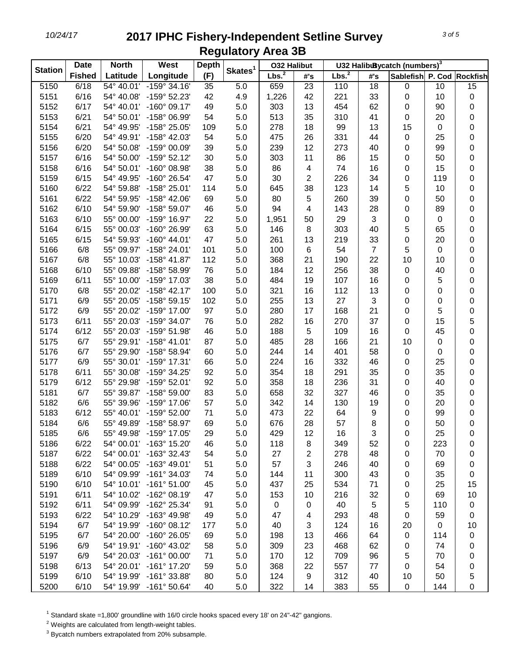|                | <b>Date</b>   | <b>North</b> | West<br><b>Depth</b>    |     | <b>032 Halibut</b>  |                   | U32 HalibuBycatch (numbers) <sup>3</sup> |           |     |                           |           |             |
|----------------|---------------|--------------|-------------------------|-----|---------------------|-------------------|------------------------------------------|-----------|-----|---------------------------|-----------|-------------|
| <b>Station</b> | <b>Fished</b> | Latitude     | Longitude               | (F) | Skates <sup>1</sup> | Lbs. <sup>2</sup> | #'s                                      | Lbs. $^2$ | #'s | Sablefish P. Cod Rockfish |           |             |
| 5150           | 6/18          | 54° 40.01'   | $-159°34.16'$           | 35  | 5.0                 | 659               | $\overline{23}$                          | 110       | 18  | 0                         | 10        | 15          |
| 5151           | 6/16          | 54° 40.08'   | -159° 52.23'            | 42  | 4.9                 | 1,226             | 42                                       | 221       | 33  | $\pmb{0}$                 | 10        | 0           |
| 5152           | 6/17          | 54° 40.01'   | $-160^{\circ}$ 09.17'   | 49  | 5.0                 | 303               | 13                                       | 454       | 62  | 0                         | 90        | 0           |
| 5153           | 6/21          | 54° 50.01'   | -158° 06.99'            | 54  | 5.0                 | 513               | 35                                       | 310       | 41  | 0                         | 20        | $\pmb{0}$   |
| 5154           | 6/21          | 54° 49.95'   | -158° 25.05'            | 109 | 5.0                 | 278               | 18                                       | 99        | 13  | 15                        | $\pmb{0}$ | 0           |
| 5155           | 6/20          | 54° 49.91'   | -158° 42.03'            | 54  | 5.0                 | 475               | 26                                       | 331       | 44  | $\mathbf 0$               | 25        | 0           |
| 5156           | 6/20          | 54° 50.08'   | -159° 00.09'            | 39  | 5.0                 | 239               | 12                                       | 273       | 40  | 0                         | 99        | 0           |
| 5157           | 6/16          | 54° 50.00'   | -159° 52.12'            | 30  | 5.0                 | 303               | 11                                       | 86        | 15  | 0                         | 50        | 0           |
| 5158           | 6/16          | 54° 50.01'   | $-160^{\circ}$ 08.98'   | 38  | 5.0                 | 86                | $\overline{\mathbf{4}}$                  | 74        | 16  | 0                         | 15        | 0           |
| 5159           | 6/15          | 54° 49.95'   | -160° 26.54'            | 47  | 5.0                 | 30                | $\overline{c}$                           | 226       | 34  | 0                         | 119       | 0           |
| 5160           | 6/22          | 54° 59.88'   | -158° 25.01'            | 114 | 5.0                 | 645               | 38                                       | 123       | 14  | 5                         | 10        | 0           |
| 5161           | 6/22          | 54° 59.95'   | -158° 42.06'            | 69  | 5.0                 | 80                | 5                                        | 260       | 39  | 0                         | 50        | 0           |
| 5162           | 6/10          | 54° 59.90'   | -158° 59.07'            | 46  | 5.0                 | 94                | 4                                        | 143       | 28  | 0                         | 89        | 0           |
| 5163           | 6/10          | 55° 00.00'   | -159° 16.97'            | 22  | 5.0                 | 1,951             | 50                                       | 29        | 3   | 0                         | 0         | 0           |
| 5164           | 6/15          | 55° 00.03'   | -160° 26.99'            | 63  | 5.0                 | 146               | 8                                        | 303       | 40  | 5                         | 65        | 0           |
| 5165           | 6/15          | 54° 59.93'   | $-160^{\circ}$ 44.01'   | 47  | 5.0                 | 261               | 13                                       | 219       | 33  | 0                         | 20        | 0           |
| 5166           | 6/8           | 55° 09.97'   | -158° 24.01'            | 101 | 5.0                 | 100               | 6                                        | 54        | 7   | 5                         | $\pmb{0}$ | 0           |
| 5167           | 6/8           | 55° 10.03'   | $-158^{\circ}$ 41.87'   | 112 | 5.0                 | 368               | 21                                       | 190       | 22  | 10                        | 10        | 0           |
| 5168           | 6/10          | 55° 09.88'   | -158° 58.99'            | 76  | 5.0                 | 184               | 12                                       | 256       | 38  | $\pmb{0}$                 | 40        | 0           |
| 5169           | 6/11          | 55° 10.00'   | -159° 17.03'            | 38  | 5.0                 | 484               | 19                                       | 107       | 16  | 0                         | 5         | 0           |
| 5170           | 6/8           | 55° 20.02'   | $-158^{\circ}$ 42.17    | 100 | 5.0                 | 321               | 16                                       | 112       | 13  | 0                         | 0         | 0           |
| 5171           | 6/9           | 55° 20.05'   | -158° 59.15'            | 102 | 5.0                 | 255               | 13                                       | 27        | 3   | 0                         | 0         | 0           |
| 5172           | 6/9           | 55° 20.02'   | -159° 17.00'            | 97  | 5.0                 | 280               | 17                                       | 168       | 21  | 0                         | 5         | 0           |
| 5173           | 6/11          | 55° 20.03'   | -159° 34.07'            | 76  | 5.0                 | 282               | 16                                       | 270       | 37  | 0                         | 15        | 5           |
| 5174           | 6/12          | 55° 20.03'   | -159° 51.98'            | 46  | 5.0                 | 188               | 5                                        | 109       | 16  | 0                         | 45        | $\mathbf 0$ |
| 5175           | 6/7           | 55° 29.91'   | $-158^{\circ}$ 41.01'   | 87  | 5.0                 | 485               | 28                                       | 166       | 21  | 10                        | $\pmb{0}$ | $\mathbf 0$ |
| 5176           | 6/7           | 55° 29.90'   | -158° 58.94'            | 60  | 5.0                 | 244               | 14                                       | 401       | 58  | $\pmb{0}$                 | $\pmb{0}$ | 0           |
| 5177           | 6/9           | 55° 30.01'   | -159° 17.31'            | 66  | 5.0                 | 224               | 16                                       | 332       | 46  | 0                         | 25        | 0           |
| 5178           | 6/11          | 55° 30.08'   | -159° 34.25'            | 92  | 5.0                 | 354               | 18                                       | 291       | 35  | 0                         | 35        | 0           |
| 5179           | 6/12          | 55° 29.98'   | -159° 52.01'            | 92  | 5.0                 | 358               | 18                                       | 236       | 31  | 0                         | 40        | 0           |
| 5181           | 6/7           | 55° 39.87'   | -158° 59.00'            | 83  | 5.0                 | 658               | 32                                       | 327       | 46  | 0                         | 35        | 0           |
| 5182           | 6/6           | 55° 39.96'   | -159° 17.06'            | 57  | 5.0                 | 342               | 14                                       | 130       | 19  | 0                         | 20        | 0           |
| 5183           | 6/12          | 55° 40.01'   | -159° 52.00'            | 71  | 5.0                 | 473               | 22                                       | 64        | 9   | 0                         | 99        | 0           |
| 5184           | 6/6           | 55° 49.89'   | $-158^{\circ} 58.97'$   | 69  | 5.0                 | 676               | 28                                       | 57        | 8   | 0                         | 50        | 0           |
| 5185           | 6/6           | 55° 49.98'   | $-159^{\circ}$ 17.05'   | 29  | 5.0                 | 429               | 12                                       | 16        | 3   | 0                         | 25        | 0           |
| 5186           | 6/22          | 54° 00.01'   | -163° 15.20'            | 46  | 5.0                 | 118               | 8                                        | 349       | 52  | 0                         | 223       | 0           |
| 5187           | 6/22          | 54° 00.01'   | $-163^\circ$ 32.43      | 54  | 5.0                 | 27                | $\overline{2}$                           | 278       | 48  | 0                         | 70        | 0           |
| 5188           | 6/22          | 54° 00.05'   | $-163^{\circ}$ 49.01'   | 51  | 5.0                 | 57                | 3                                        | 246       | 40  | 0                         | 69        | 0           |
| 5189           | 6/10          | 54° 09.99'   | $-161°34.03'$           | 74  | 5.0                 | 144               | 11                                       | 300       | 43  | 0                         | 35        | 0           |
| 5190           | 6/10          | 54° 10.01'   | $-161°51.00'$           | 45  | 5.0                 | 437               | 25                                       | 534       | 71  | 0                         | 25        | 15          |
| 5191           | 6/11          | 54° 10.02'   | $-162^{\circ}$ 08.19    | 47  | 5.0                 | 153               | 10                                       | 216       | 32  | 0                         | 69        | 10          |
| 5192           | 6/11          | 54° 09.99'   | -162° 25.34'            | 91  | 5.0                 | $\pmb{0}$         | 0                                        | 40        | 5   | 5                         | 110       | 0           |
| 5193           | 6/22          | 54° 10.29'   | -163° 49.98'            | 49  | 5.0                 | 47                | 4                                        | 293       | 48  | 0                         | 59        | 0           |
| 5194           | 6/7           | 54° 19.99'   | $-160^{\circ}$ 08.12'   | 177 | 5.0                 | 40                | 3                                        | 124       | 16  | 20                        | 0         | 10          |
| 5195           | 6/7           | 54° 20.00'   | $-160^{\circ}$ 26.05'   | 69  | 5.0                 | 198               | 13                                       | 466       | 64  | 0                         | 114       | 0           |
| 5196           | 6/9           | 54° 19.91'   | -160° 43.02'            | 58  | 5.0                 | 309               | 23                                       | 468       | 62  | 0                         | 74        | 0           |
| 5197           | 6/9           | 54° 20.03'   | $-161^{\circ}$ 00.00    | 71  | 5.0                 | 170               | 12                                       | 709       | 96  | 5                         | 70        | 0           |
| 5198           | 6/13          | 54° 20.01'   | $-161^{\circ}$ 17.20    | 59  | 5.0                 | 368               | 22                                       | 557       | 77  | 0                         | 54        | 0           |
| 5199           | 6/10          | 54° 19.99'   | -161° 33.88'            | 80  | 5.0                 | 124               | 9                                        | 312       | 40  | 10                        | 50        | 5           |
| 5200           | 6/10          |              | 54° 19.99' -161° 50.64' | 40  | 5.0                 | 322               | 14                                       | 383       | 55  | $\pmb{0}$                 | 144       | $\pmb{0}$   |

<sup>1</sup> Standard skate =1,800' groundline with 16/0 circle hooks spaced every 18' on 24"-42" gangions.

Weights are calculated from length-weight tables.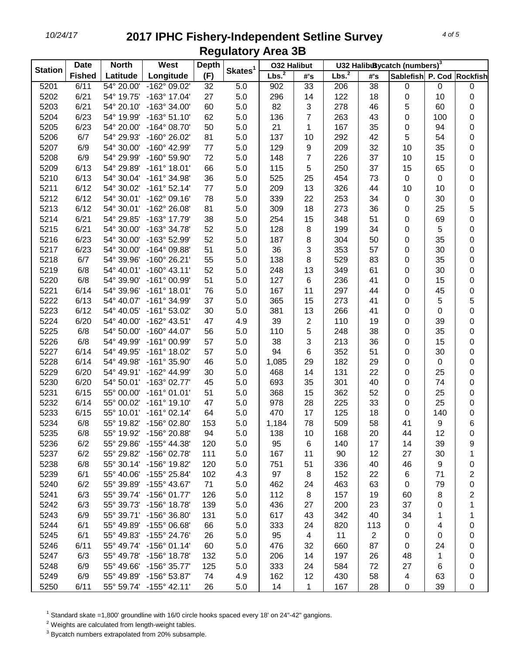| <b>Station</b> | <b>Date</b>   | <b>North</b> | West                    | <b>Depth</b> |                     | <b>O32 Halibut</b> |                         |                   |                 | U32 HalibuBycatch (numbers) <sup>3</sup> |             |                         |
|----------------|---------------|--------------|-------------------------|--------------|---------------------|--------------------|-------------------------|-------------------|-----------------|------------------------------------------|-------------|-------------------------|
|                | <b>Fished</b> | Latitude     | Longitude               | (F)          | Skates <sup>1</sup> | Lbs. <sup>2</sup>  | #'s                     | Lbs. <sup>2</sup> | #'s             | Sablefish P. Cod Rockfish                |             |                         |
| 5201           | 6/11          | 54° 20.00'   | -162° 09.02'            | 32           | 5.0                 | 902                | 33                      | 206               | $\overline{38}$ | 0                                        | 0           | $\pmb{0}$               |
| 5202           | 6/21          | 54° 19.75'   | $-163°$ 17.04'          | 27           | 5.0                 | 296                | 14                      | 122               | 18              | 0                                        | 10          | 0                       |
| 5203           | 6/21          | 54° 20.10'   | -163° 34.00'            | 60           | 5.0                 | 82                 | 3                       | 278               | 46              | 5                                        | 60          | 0                       |
| 5204           | 6/23          | 54° 19.99'   | $-163°51.10'$           | 62           | 5.0                 | 136                | $\overline{7}$          | 263               | 43              | 0                                        | 100         | 0                       |
| 5205           | 6/23          | 54° 20.00'   | -164° 08.70'            | 50           | 5.0                 | 21                 | 1                       | 167               | 35              | 0                                        | 94          | $\mathbf 0$             |
| 5206           | 6/7           | 54° 29.93'   | -160° 26.02'            | 81           | 5.0                 | 137                | 10                      | 292               | 42              | 5                                        | 54          | 0                       |
| 5207           | 6/9           | 54° 30.00'   | -160° 42.99'            | 77           | 5.0                 | 129                | $\boldsymbol{9}$        | 209               | 32              | 10                                       | 35          | $\pmb{0}$               |
| 5208           | 6/9           | 54° 29.99'   | -160° 59.90'            | 72           | 5.0                 | 148                | $\overline{7}$          | 226               | 37              | 10                                       | 15          | $\pmb{0}$               |
| 5209           | 6/13          | 54° 29.89'   | $-161°$ 18.01'          | 66           | 5.0                 | 115                | 5                       | 250               | 37              | 15                                       | 65          | 0                       |
| 5210           | 6/13          | 54° 30.04'   | $-161°34.98'$           | 36           | 5.0                 | 525                | 25                      | 454               | 73              | $\pmb{0}$                                | $\mathbf 0$ | $\pmb{0}$               |
| 5211           | 6/12          | 54° 30.02'   | $-161°52.14'$           | 77           | 5.0                 | 209                | 13                      | 326               | 44              | 10                                       | 10          | $\pmb{0}$               |
| 5212           | 6/12          | 54° 30.01'   | $-162°09.16'$           | 78           | 5.0                 | 339                | 22                      | 253               | 34              | 0                                        | 30          | $\pmb{0}$               |
| 5213           | 6/12          | 54° 30.01'   | -162° 26.08'            | 81           | 5.0                 | 309                | 18                      | 273               | 36              | 0                                        | 25          | 5                       |
| 5214           | 6/21          | 54° 29.85'   | -163° 17.79'            | 38           | 5.0                 | 254                | 15                      | 348               | 51              | 0                                        | 69          | $\pmb{0}$               |
| 5215           | 6/21          | 54° 30.00'   | -163° 34.78'            | 52           | 5.0                 | 128                | 8                       | 199               | 34              | 0                                        | 5           | $\pmb{0}$               |
| 5216           | 6/23          | 54° 30.00'   | -163° 52.99'            | 52           | 5.0                 | 187                | 8                       | 304               | 50              | 0                                        | 35          | 0                       |
| 5217           | 6/23          | 54° 30.00'   | -164° 09.88'            | 51           | 5.0                 | 36                 | 3                       | 353               | 57              | 0                                        | 30          | 0                       |
| 5218           | 6/7           | 54° 39.96'   | -160° 26.21'            | 55           | 5.0                 | 138                | 8                       | 529               | 83              | 0                                        | 35          | 0                       |
| 5219           | 6/8           | 54° 40.01'   | $-160^{\circ}$ 43.11'   | 52           | 5.0                 | 248                | 13                      | 349               | 61              | 0                                        | 30          | 0                       |
| 5220           | 6/8           | 54° 39.90'   | -161° 00.99'            | 51           | 5.0                 | 127                | $\,6$                   | 236               | 41              | 0                                        | 15          | 0                       |
| 5221           | 6/14          | 54° 39.96'   | $-161°$ 18.01'          | 76           | 5.0                 | 167                | 11                      | 297               | 44              | 0                                        | 45          | $\mathbf 0$             |
| 5222           | 6/13          | 54° 40.07'   | -161° 34.99'            | 37           | 5.0                 | 365                | 15                      | 273               | 41              | 0                                        | 5           | 5                       |
| 5223           | 6/12          | 54° 40.05'   | $-161°53.02'$           | 30           | 5.0                 | 381                | 13                      | 266               | 41              | 0                                        | $\pmb{0}$   | $\pmb{0}$               |
| 5224           | 6/20          | 54° 40.00'   | -162° 43.51'            | 47           | 4.9                 | 39                 | $\overline{\mathbf{c}}$ | 110               | 19              | 0                                        | 39          | $\pmb{0}$               |
| 5225           | 6/8           | 54° 50.00'   | $-160^{\circ}$ 44.07'   | 56           | 5.0                 | 110                | 5                       | 248               | 38              | 0                                        | 35          | $\pmb{0}$               |
| 5226           | 6/8           | 54° 49.99'   | -161° 00.99'            | 57           | 5.0                 | 38                 | 3                       | 213               | 36              | 0                                        | 15          | $\pmb{0}$               |
| 5227           | 6/14          | 54° 49.95'   | $-161°$ 18.02'          | 57           | 5.0                 | 94                 | $\,6$                   | 352               | 51              | 0                                        | 30          | $\pmb{0}$               |
| 5228           | 6/14          | 54° 49.98'   | -161° 35.90'            | 46           | 5.0                 | 1,085              | 29                      | 182               | 29              | 0                                        | $\pmb{0}$   | 0                       |
| 5229           | 6/20          | 54° 49.91'   | -162° 44.99'            | 30           | 5.0                 | 468                | 14                      | 131               | 22              | 0                                        | 25          | 0                       |
|                | 6/20          | 54° 50.01'   | -163° 02.77'            | 45           | 5.0                 | 693                | 35                      | 301               | 40              | 0                                        | 74          |                         |
| 5230           | 6/15          | 55° 00.00'   | $-161°01.01'$           | 51           | 5.0                 | 368                | 15                      | 362               | 52              |                                          | 25          | 0                       |
| 5231<br>5232   |               | 55° 00.02'   | $-161°$ 19.10           | 47           |                     | 978                |                         |                   |                 | 0                                        |             | 0                       |
|                | 6/14          |              |                         |              | 5.0                 |                    | 28                      | 225               | 33              | 0                                        | 25          | 0                       |
| 5233           | 6/15          | 55° 10.01'   | $-161°02.14'$           | 64           | 5.0                 | 470                | 17                      | 125               | 18              | 0                                        | 140         | $\pmb{0}$               |
| 5234           | 6/8           | 55° 19.82'   | $-156^{\circ}$ 02.80    | 153          | 5.0                 | 1,184              | 78                      | 509               | 58              | 41                                       | 9           | 6                       |
| 5235           | 6/8           | 55° 19.92'   | -156° 20.88'            | 94           | 5.0                 | 138                | 10                      | 168               | 20              | 44                                       | 12          | 0                       |
| 5236           | 6/2           | 55° 29.86'   | $-155^{\circ}$ 44.38'   | 120          | 5.0                 | 95                 | 6                       | 140               | 17              | 14                                       | 39          | 9                       |
| 5237           | 6/2           | 55° 29.82'   | -156° 02.78'            | 111          | 5.0                 | 167                | 11                      | 90                | 12              | 27                                       | 30          | 1                       |
| 5238           | 6/8           | 55° 30.14'   | -156° 19.82'            | 120          | 5.0                 | 751                | 51                      | 336               | 40              | 46                                       | 9           | 0                       |
| 5239           | 6/1           | 55° 40.06'   | -155° 25.84'            | 102          | 4.3                 | 97                 | 8                       | 152               | 22              | 6                                        | 71          | $\overline{\mathbf{c}}$ |
| 5240           | 6/2           | 55° 39.89'   | -155° 43.67'            | 71           | 5.0                 | 462                | 24                      | 463               | 63              | 0                                        | 79          | 0                       |
| 5241           | 6/3           | 55° 39.74'   | -156° 01.77'            | 126          | 5.0                 | 112                | 8                       | 157               | 19              | 60                                       | 8           | $\overline{\mathbf{c}}$ |
| 5242           | 6/3           | 55° 39.73'   | -156° 18.78'            | 139          | 5.0                 | 436                | 27                      | 200               | 23              | 37                                       | 0           | 1                       |
| 5243           | 6/9           | 55° 39.71'   | -156° 36.80'            | 131          | 5.0                 | 617                | 43                      | 342               | 40              | 34                                       | 1           | 1                       |
| 5244           | 6/1           | 55° 49.89'   | -155° 06.68'            | 66           | 5.0                 | 333                | 24                      | 820               | 113             | 0                                        | 4           | 0                       |
| 5245           | 6/1           | 55° 49.83'   | -155° 24.76'            | 26           | 5.0                 | 95                 | $\overline{4}$          | 11                | $\overline{2}$  | 0                                        | 0           | 0                       |
| 5246           | 6/11          | 55° 49.74'   | $-156°01.14'$           | 60           | 5.0                 | 476                | 32                      | 660               | 87              | 0                                        | 24          | 0                       |
| 5247           | 6/3           | 55° 49.78'   | -156° 18.78'            | 132          | 5.0                 | 206                | 14                      | 197               | 26              | 48                                       | 1           | 0                       |
| 5248           | 6/9           | 55° 49.66'   | -156° 35.77'            | 125          | 5.0                 | 333                | 24                      | 584               | 72              | 27                                       | 6           | 0                       |
| 5249           | 6/9           | 55° 49.89'   | -156° 53.87'            | 74           | 4.9                 | 162                | 12                      | 430               | 58              | 4                                        | 63          | 0                       |
| 5250           | 6/11          |              | 55° 59.74' -155° 42.11' | 26           | 5.0                 | 14                 | 1                       | 167               | 28              | 0                                        | 39          | 0                       |

<sup>1</sup> Standard skate =1,800' groundline with 16/0 circle hooks spaced every 18' on 24"-42" gangions.

Weights are calculated from length-weight tables.